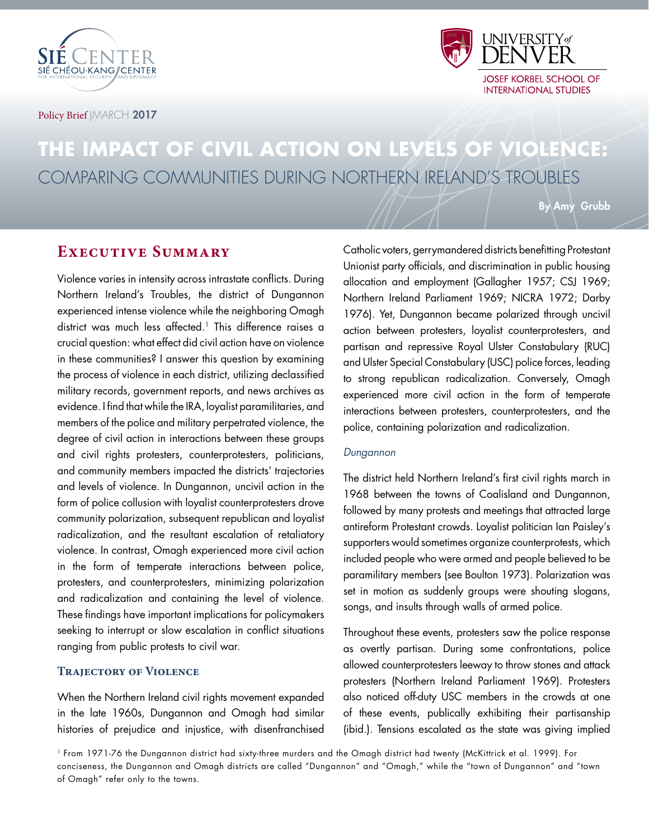



Policy Brief | MARCH 2017

## **THE IMPACT OF CIVIL ACTION ON LEVELS OF VIOLENCE:** COMPARING COMMUNITIES DURING NORTHERN IRELAND'S TROUBLES

By Amy Grubb

## **Executive Summary**

Violence varies in intensity across intrastate conflicts. During Northern Ireland's Troubles, the district of Dungannon experienced intense violence while the neighboring Omagh district was much less affected.<sup>1</sup> This difference raises a crucial question: what effect did civil action have on violence in these communities? I answer this question by examining the process of violence in each district, utilizing declassified military records, government reports, and news archives as evidence. I find that while the IRA, loyalist paramilitaries, and members of the police and military perpetrated violence, the degree of civil action in interactions between these groups and civil rights protesters, counterprotesters, politicians, and community members impacted the districts' trajectories and levels of violence. In Dungannon, uncivil action in the form of police collusion with loyalist counterprotesters drove community polarization, subsequent republican and loyalist radicalization, and the resultant escalation of retaliatory violence. In contrast, Omagh experienced more civil action in the form of temperate interactions between police, protesters, and counterprotesters, minimizing polarization and radicalization and containing the level of violence. These findings have important implications for policymakers seeking to interrupt or slow escalation in conflict situations ranging from public protests to civil war.

#### **TRAJECTORY OF VIOLENCE**

When the Northern Ireland civil rights movement expanded in the late 1960s, Dungannon and Omagh had similar histories of prejudice and injustice, with disenfranchised Catholic voters, gerrymandered districts benefitting Protestant Unionist party officials, and discrimination in public housing allocation and employment (Gallagher 1957; CSJ 1969; Northern Ireland Parliament 1969; NICRA 1972; Darby 1976). Yet, Dungannon became polarized through uncivil action between protesters, loyalist counterprotesters, and partisan and repressive Royal Ulster Constabulary (RUC) and Ulster Special Constabulary (USC) police forces, leading to strong republican radicalization. Conversely, Omagh experienced more civil action in the form of temperate interactions between protesters, counterprotesters, and the police, containing polarization and radicalization.

#### Dungannon

The district held Northern Ireland's first civil rights march in 1968 between the towns of Coalisland and Dungannon, followed by many protests and meetings that attracted large antireform Protestant crowds. Loyalist politician Ian Paisley's supporters would sometimes organize counterprotests, which included people who were armed and people believed to be paramilitary members (see Boulton 1973). Polarization was set in motion as suddenly groups were shouting slogans, songs, and insults through walls of armed police.

Throughout these events, protesters saw the police response as overtly partisan. During some confrontations, police allowed counterprotesters leeway to throw stones and attack protesters (Northern Ireland Parliament 1969). Protesters also noticed off-duty USC members in the crowds at one of these events, publically exhibiting their partisanship (ibid.). Tensions escalated as the state was giving implied

1 From 1971-76 the Dungannon district had sixty-three murders and the Omagh district had twenty (McKittrick et al. 1999). For conciseness, the Dungannon and Omagh districts are called "Dungannon" and "Omagh," while the "town of Dungannon" and "town of Omagh" refer only to the towns.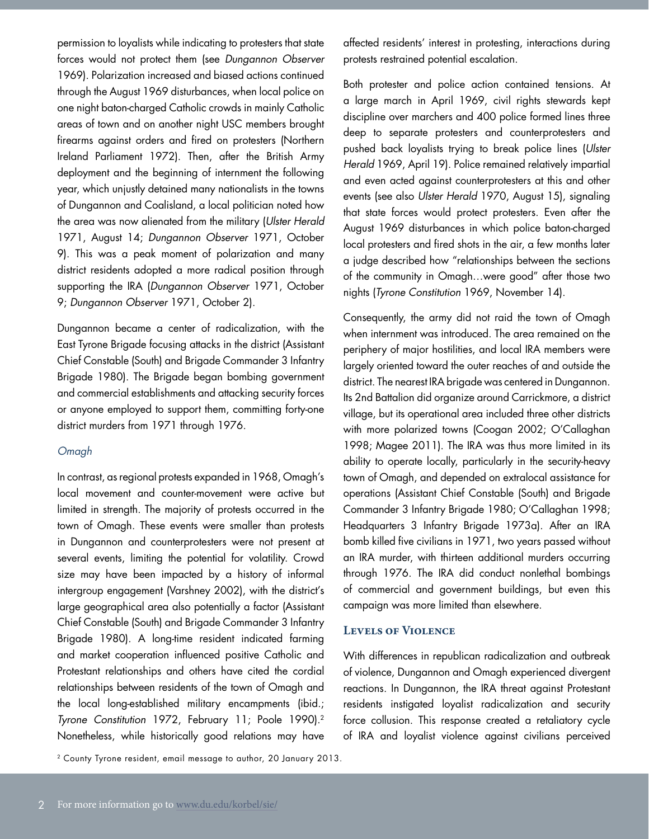permission to loyalists while indicating to protesters that state forces would not protect them (see Dungannon Observer 1969). Polarization increased and biased actions continued through the August 1969 disturbances, when local police on one night baton-charged Catholic crowds in mainly Catholic areas of town and on another night USC members brought firearms against orders and fired on protesters (Northern Ireland Parliament 1972). Then, after the British Army deployment and the beginning of internment the following year, which unjustly detained many nationalists in the towns of Dungannon and Coalisland, a local politician noted how the area was now alienated from the military (Ulster Herald 1971, August 14; Dungannon Observer 1971, October 9). This was a peak moment of polarization and many district residents adopted a more radical position through supporting the IRA (Dungannon Observer 1971, October 9; Dungannon Observer 1971, October 2).

Dungannon became a center of radicalization, with the East Tyrone Brigade focusing attacks in the district (Assistant Chief Constable (South) and Brigade Commander 3 Infantry Brigade 1980). The Brigade began bombing government and commercial establishments and attacking security forces or anyone employed to support them, committing forty-one district murders from 1971 through 1976.

#### Omagh

In contrast, as regional protests expanded in 1968, Omagh's local movement and counter-movement were active but limited in strength. The majority of protests occurred in the town of Omagh. These events were smaller than protests in Dungannon and counterprotesters were not present at several events, limiting the potential for volatility. Crowd size may have been impacted by a history of informal intergroup engagement (Varshney 2002), with the district's large geographical area also potentially a factor (Assistant Chief Constable (South) and Brigade Commander 3 Infantry Brigade 1980). A long-time resident indicated farming and market cooperation influenced positive Catholic and Protestant relationships and others have cited the cordial relationships between residents of the town of Omagh and the local long-established military encampments (ibid.; Tyrone Constitution 1972, February 11; Poole 1990).2 Nonetheless, while historically good relations may have

2 County Tyrone resident, email message to author, 20 January 2013.

affected residents' interest in protesting, interactions during protests restrained potential escalation.

Both protester and police action contained tensions. At a large march in April 1969, civil rights stewards kept discipline over marchers and 400 police formed lines three deep to separate protesters and counterprotesters and pushed back loyalists trying to break police lines (Ulster Herald 1969, April 19). Police remained relatively impartial and even acted against counterprotesters at this and other events (see also Ulster Herald 1970, August 15), signaling that state forces would protect protesters. Even after the August 1969 disturbances in which police baton-charged local protesters and fired shots in the air, a few months later a judge described how "relationships between the sections of the community in Omagh…were good" after those two nights (Tyrone Constitution 1969, November 14).

Consequently, the army did not raid the town of Omagh when internment was introduced. The area remained on the periphery of major hostilities, and local IRA members were largely oriented toward the outer reaches of and outside the district. The nearest IRA brigade was centered in Dungannon. Its 2nd Battalion did organize around Carrickmore, a district village, but its operational area included three other districts with more polarized towns (Coogan 2002; O'Callaghan 1998; Magee 2011). The IRA was thus more limited in its ability to operate locally, particularly in the security-heavy town of Omagh, and depended on extralocal assistance for operations (Assistant Chief Constable (South) and Brigade Commander 3 Infantry Brigade 1980; O'Callaghan 1998; Headquarters 3 Infantry Brigade 1973a). After an IRA bomb killed five civilians in 1971, two years passed without an IRA murder, with thirteen additional murders occurring through 1976. The IRA did conduct nonlethal bombings of commercial and government buildings, but even this campaign was more limited than elsewhere.

#### **Levels of Violence**

With differences in republican radicalization and outbreak of violence, Dungannon and Omagh experienced divergent reactions. In Dungannon, the IRA threat against Protestant residents instigated loyalist radicalization and security force collusion. This response created a retaliatory cycle of IRA and loyalist violence against civilians perceived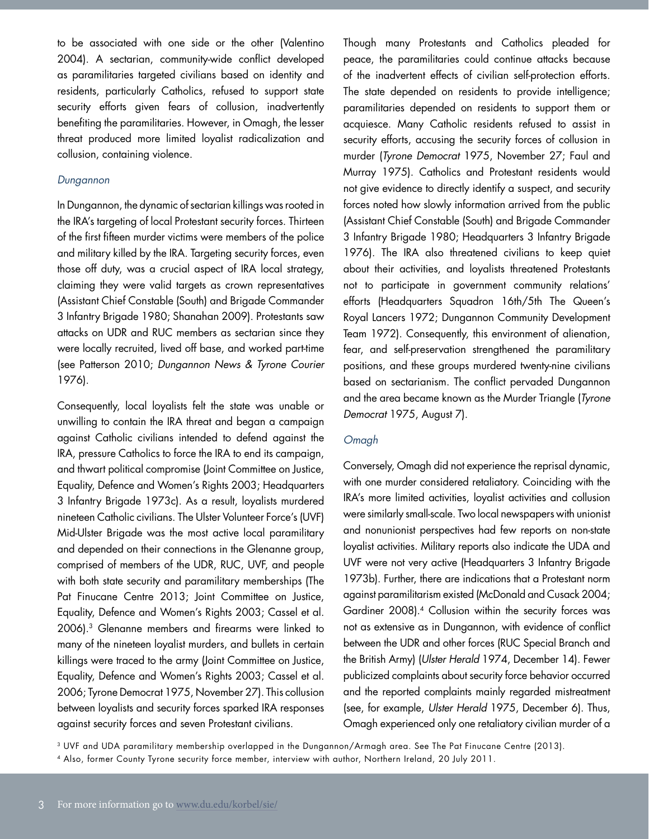to be associated with one side or the other (Valentino 2004). A sectarian, community-wide conflict developed as paramilitaries targeted civilians based on identity and residents, particularly Catholics, refused to support state security efforts given fears of collusion, inadvertently benefiting the paramilitaries. However, in Omagh, the lesser threat produced more limited loyalist radicalization and collusion, containing violence.

#### Dungannon

In Dungannon, the dynamic of sectarian killings was rooted in the IRA's targeting of local Protestant security forces. Thirteen of the first fifteen murder victims were members of the police and military killed by the IRA. Targeting security forces, even those off duty, was a crucial aspect of IRA local strategy, claiming they were valid targets as crown representatives (Assistant Chief Constable (South) and Brigade Commander 3 Infantry Brigade 1980; Shanahan 2009). Protestants saw attacks on UDR and RUC members as sectarian since they were locally recruited, lived off base, and worked part-time (see Patterson 2010; Dungannon News & Tyrone Courier 1976).

Consequently, local loyalists felt the state was unable or unwilling to contain the IRA threat and began a campaign against Catholic civilians intended to defend against the IRA, pressure Catholics to force the IRA to end its campaign, and thwart political compromise (Joint Committee on Justice, Equality, Defence and Women's Rights 2003; Headquarters 3 Infantry Brigade 1973c). As a result, loyalists murdered nineteen Catholic civilians. The Ulster Volunteer Force's (UVF) Mid-Ulster Brigade was the most active local paramilitary and depended on their connections in the Glenanne group, comprised of members of the UDR, RUC, UVF, and people with both state security and paramilitary memberships (The Pat Finucane Centre 2013; Joint Committee on Justice, Equality, Defence and Women's Rights 2003; Cassel et al. 2006).3 Glenanne members and firearms were linked to many of the nineteen loyalist murders, and bullets in certain killings were traced to the army (Joint Committee on Justice, Equality, Defence and Women's Rights 2003; Cassel et al. 2006; Tyrone Democrat 1975, November 27). This collusion between loyalists and security forces sparked IRA responses against security forces and seven Protestant civilians.

Though many Protestants and Catholics pleaded for peace, the paramilitaries could continue attacks because of the inadvertent effects of civilian self-protection efforts. The state depended on residents to provide intelligence; paramilitaries depended on residents to support them or acquiesce. Many Catholic residents refused to assist in security efforts, accusing the security forces of collusion in murder (Tyrone Democrat 1975, November 27; Faul and Murray 1975). Catholics and Protestant residents would not give evidence to directly identify a suspect, and security forces noted how slowly information arrived from the public (Assistant Chief Constable (South) and Brigade Commander 3 Infantry Brigade 1980; Headquarters 3 Infantry Brigade 1976). The IRA also threatened civilians to keep quiet about their activities, and loyalists threatened Protestants not to participate in government community relations' efforts (Headquarters Squadron 16th/5th The Queen's Royal Lancers 1972; Dungannon Community Development Team 1972). Consequently, this environment of alienation, fear, and self-preservation strengthened the paramilitary positions, and these groups murdered twenty-nine civilians based on sectarianism. The conflict pervaded Dungannon and the area became known as the Murder Triangle (Tyrone Democrat 1975, August 7).

#### Omagh

Conversely, Omagh did not experience the reprisal dynamic, with one murder considered retaliatory. Coinciding with the IRA's more limited activities, loyalist activities and collusion were similarly small-scale. Two local newspapers with unionist and nonunionist perspectives had few reports on non-state loyalist activities. Military reports also indicate the UDA and UVF were not very active (Headquarters 3 Infantry Brigade 1973b). Further, there are indications that a Protestant norm against paramilitarism existed (McDonald and Cusack 2004; Gardiner 2008).<sup>4</sup> Collusion within the security forces was not as extensive as in Dungannon, with evidence of conflict between the UDR and other forces (RUC Special Branch and the British Army) (Ulster Herald 1974, December 14). Fewer publicized complaints about security force behavior occurred and the reported complaints mainly regarded mistreatment (see, for example, Ulster Herald 1975, December 6). Thus, Omagh experienced only one retaliatory civilian murder of a

3 UVF and UDA paramilitary membership overlapped in the Dungannon/Armagh area. See The Pat Finucane Centre (2013).

<sup>4</sup> Also, former County Tyrone security force member, interview with author, Northern Ireland, 20 July 2011.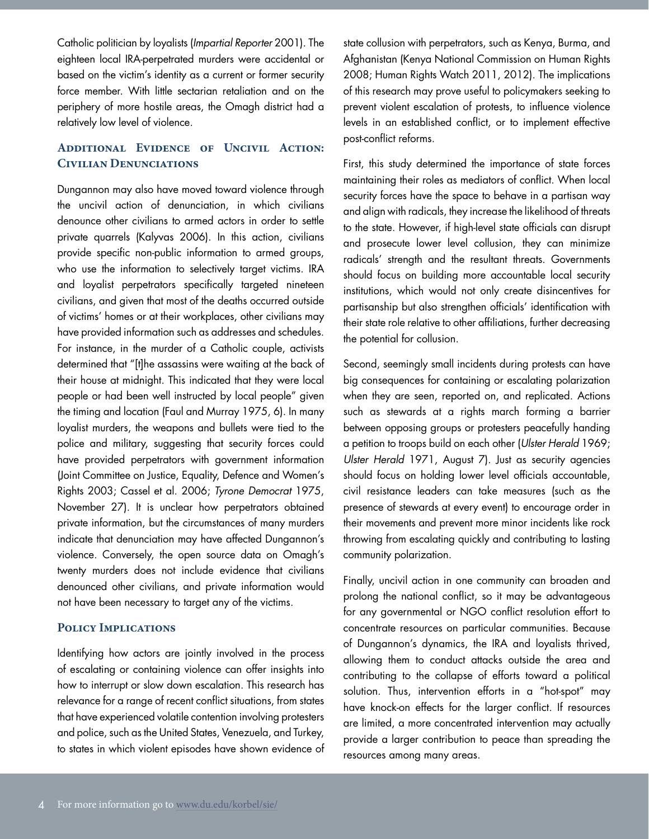Catholic politician by loyalists (Impartial Reporter 2001). The eighteen local IRA-perpetrated murders were accidental or based on the victim's identity as a current or former security force member. With little sectarian retaliation and on the periphery of more hostile areas, the Omagh district had a relatively low level of violence.

### **Additional Evidence of Uncivil Action: Civilian Denunciations**

Dungannon may also have moved toward violence through the uncivil action of denunciation, in which civilians denounce other civilians to armed actors in order to settle private quarrels (Kalyvas 2006). In this action, civilians provide specific non-public information to armed groups, who use the information to selectively target victims. IRA and loyalist perpetrators specifically targeted nineteen civilians, and given that most of the deaths occurred outside of victims' homes or at their workplaces, other civilians may have provided information such as addresses and schedules. For instance, in the murder of a Catholic couple, activists determined that "[t]he assassins were waiting at the back of their house at midnight. This indicated that they were local people or had been well instructed by local people" given the timing and location (Faul and Murray 1975, 6). In many loyalist murders, the weapons and bullets were tied to the police and military, suggesting that security forces could have provided perpetrators with government information (Joint Committee on Justice, Equality, Defence and Women's Rights 2003; Cassel et al. 2006; Tyrone Democrat 1975, November 27). It is unclear how perpetrators obtained private information, but the circumstances of many murders indicate that denunciation may have affected Dungannon's violence. Conversely, the open source data on Omagh's twenty murders does not include evidence that civilians denounced other civilians, and private information would not have been necessary to target any of the victims.

#### **Policy Implications**

Identifying how actors are jointly involved in the process of escalating or containing violence can offer insights into how to interrupt or slow down escalation. This research has relevance for a range of recent conflict situations, from states that have experienced volatile contention involving protesters and police, such as the United States, Venezuela, and Turkey, to states in which violent episodes have shown evidence of state collusion with perpetrators, such as Kenya, Burma, and Afghanistan (Kenya National Commission on Human Rights 2008; Human Rights Watch 2011, 2012). The implications of this research may prove useful to policymakers seeking to prevent violent escalation of protests, to influence violence levels in an established conflict, or to implement effective post-conflict reforms.

First, this study determined the importance of state forces maintaining their roles as mediators of conflict. When local security forces have the space to behave in a partisan way and align with radicals, they increase the likelihood of threats to the state. However, if high-level state officials can disrupt and prosecute lower level collusion, they can minimize radicals' strength and the resultant threats. Governments should focus on building more accountable local security institutions, which would not only create disincentives for partisanship but also strengthen officials' identification with their state role relative to other affiliations, further decreasing the potential for collusion.

Second, seemingly small incidents during protests can have big consequences for containing or escalating polarization when they are seen, reported on, and replicated. Actions such as stewards at a rights march forming a barrier between opposing groups or protesters peacefully handing a petition to troops build on each other (Ulster Herald 1969; Ulster Herald 1971, August 7). Just as security agencies should focus on holding lower level officials accountable, civil resistance leaders can take measures (such as the presence of stewards at every event) to encourage order in their movements and prevent more minor incidents like rock throwing from escalating quickly and contributing to lasting community polarization.

Finally, uncivil action in one community can broaden and prolong the national conflict, so it may be advantageous for any governmental or NGO conflict resolution effort to concentrate resources on particular communities. Because of Dungannon's dynamics, the IRA and loyalists thrived, allowing them to conduct attacks outside the area and contributing to the collapse of efforts toward a political solution. Thus, intervention efforts in a "hot-spot" may have knock-on effects for the larger conflict. If resources are limited, a more concentrated intervention may actually provide a larger contribution to peace than spreading the resources among many areas.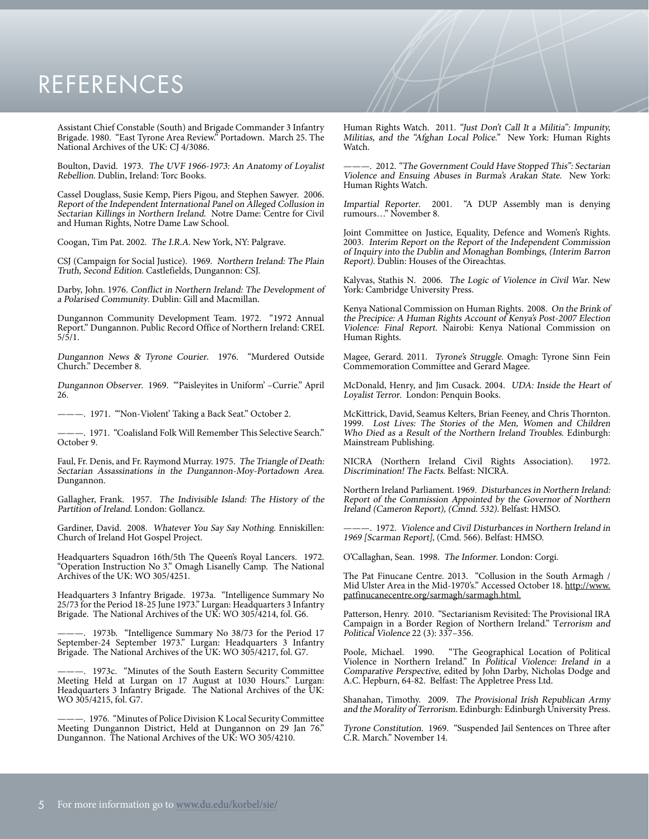# **REFERENCES**

Assistant Chief Constable (South) and Brigade Commander 3 Infantry Brigade. 1980. "East Tyrone Area Review." Portadown. March 25. The National Archives of the UK: CJ 4/3086.

Boulton, David. 1973. The UVF 1966-1973: An Anatomy of Loyalist Rebellion. Dublin, Ireland: Torc Books.

Cassel Douglass, Susie Kemp, Piers Pigou, and Stephen Sawyer. 2006. Report of the Independent International Panel on Alleged Collusion in Sectarian Killings in Northern Ireland. Notre Dame: Centre for Civil and Human Rights, Notre Dame Law School.

Coogan, Tim Pat. 2002. The I.R.A. New York, NY: Palgrave.

CSJ (Campaign for Social Justice). 1969. Northern Ireland: The Plain Truth, Second Edition. Castlefields, Dungannon: CSJ.

Darby, John. 1976. Conflict in Northern Ireland: The Development of a Polarised Community. Dublin: Gill and Macmillan.

Dungannon Community Development Team. 1972. "1972 Annual Report." Dungannon. Public Record Office of Northern Ireland: CREL  $5/\overline{5}/1.$ 

Dungannon News & Tyrone Courier. 1976. "Murdered Outside Church." December 8.

Dungannon Observer. 1969. "'Paisleyites in Uniform' –Currie." April 26.

———. 1971. "'Non-Violent' Taking a Back Seat." October 2.

———. 1971. "Coalisland Folk Will Remember This Selective Search." October 9.

Faul, Fr. Denis, and Fr. Raymond Murray. 1975. The Triangle of Death: Sectarian Assassinations in the Dungannon-Moy-Portadown Area. Dungannon.

Gallagher, Frank. 1957. The Indivisible Island: The History of the Partition of Ireland. London: Gollancz.

Gardiner, David. 2008. Whatever You Say Say Nothing. Enniskillen: Church of Ireland Hot Gospel Project.

Headquarters Squadron 16th/5th The Queen's Royal Lancers. 1972. "Operation Instruction No 3." Omagh Lisanelly Camp. The National Archives of the UK: WO 305/4251.

Headquarters 3 Infantry Brigade. 1973a. "Intelligence Summary No 25/73 for the Period 18-25 June 1973." Lurgan: Headquarters 3 Infantry Brigade. The National Archives of the UK: WO 305/4214, fol. G6.

-. 1973b. "Intelligence Summary No 38/73 for the Period 17 September-24 September 1973." Lurgan: Headquarters 3 Infantry Brigade. The National Archives of the UK: WO 305/4217, fol. G7.

———. 1973c. "Minutes of the South Eastern Security Committee Meeting Held at Lurgan on 17 August at 1030 Hours." Lurgan: Headquarters 3 Infantry Brigade. The National Archives of the UK: WO 305/4215, fol. G7.

———. 1976. "Minutes of Police Division K Local Security Committee Meeting Dungannon District, Held at Dungannon on 29 Jan 76." Dungannon. The National Archives of the UK: WO 305/4210.

Human Rights Watch. 2011. "Just Don't Call It a Militia": Impunity, Militias, and the "Afghan Local Police." New York: Human Rights Watch.

———. 2012. "The Government Could Have Stopped This": Sectarian Violence and Ensuing Abuses in Burma's Arakan State. New York: Human Rights Watch.

Impartial Reporter. 2001. "A DUP Assembly man is denying rumours…" November 8.

Joint Committee on Justice, Equality, Defence and Women's Rights. 2003. Interim Report on the Report of the Independent Commission of Inquiry into the Dublin and Monaghan Bombings, (Interim Barron Report). Dublin: Houses of the Oireachtas.

Kalyvas, Stathis N. 2006. The Logic of Violence in Civil War. New York: Cambridge University Press.

Kenya National Commission on Human Rights. 2008. On the Brink of the Precipice: A Human Rights Account of Kenya's Post-2007 Election Violence: Final Report. Nairobi: Kenya National Commission on Human Rights.

Magee, Gerard. 2011. Tyrone's Struggle. Omagh: Tyrone Sinn Fein Commemoration Committee and Gerard Magee.

McDonald, Henry, and Jim Cusack. 2004. UDA: Inside the Heart of Loyalist Terror. London: Penquin Books.

McKittrick, David, Seamus Kelters, Brian Feeney, and Chris Thornton. 1999. Lost Lives: The Stories of the Men, Women and Children Who Died as a Result of the Northern Ireland Troubles. Edinburgh: Mainstream Publishing.

NICRA (Northern Ireland Civil Rights Association). 1972. Discrimination! The Facts. Belfast: NICRA.

Northern Ireland Parliament. 1969. Disturbances in Northern Ireland: Report of the Commission Appointed by the Governor of Northern Ireland (Cameron Report), (Cmnd. 532). Belfast: HMSO.

-. 1972. Violence and Civil Disturbances in Northern Ireland in 1969 [Scarman Report], (Cmd. 566). Belfast: HMSO.

O'Callaghan, Sean. 1998. The Informer. London: Corgi.

The Pat Finucane Centre. 2013. "Collusion in the South Armagh / Mid Ulster Area in the Mid-1970's." Accessed October 18. <u>http://www.</u> patfinucanecentre.org/sarmagh/sarmagh.html.

Patterson, Henry. 2010. "Sectarianism Revisited: The Provisional IRA Campaign in a Border Region of Northern Ireland." Terrorism and Political Violence 22 (3): 337–356.

Poole, Michael. 1990. "The Geographical Location of Political Violence in Northern Ireland." In Political Violence: Ireland in a Comparative Perspective, edited by John Darby, Nicholas Dodge and A.C. Hepburn, 64-82. Belfast: The Appletree Press Ltd.

Shanahan, Timothy. 2009. The Provisional Irish Republican Army and the Morality of Terrorism. Edinburgh: Edinburgh University Press.

Tyrone Constitution. 1969. "Suspended Jail Sentences on Three after C.R. March." November 14.